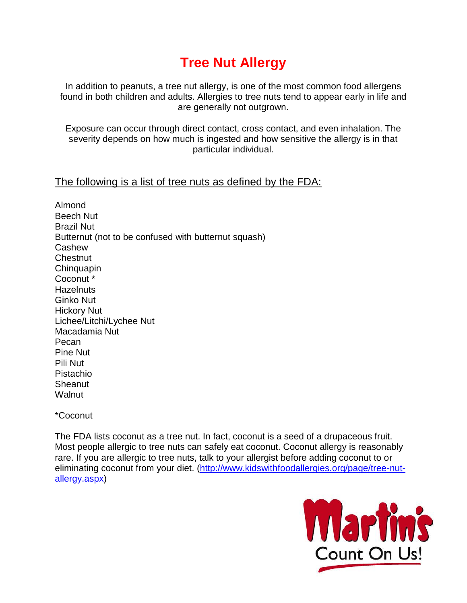# **Tree Nut Allergy**

In addition to peanuts, a tree nut allergy, is one of the most common food allergens found in both children and adults. Allergies to tree nuts tend to appear early in life and are generally not outgrown.

Exposure can occur through direct contact, cross contact, and even inhalation. The severity depends on how much is ingested and how sensitive the allergy is in that particular individual.

### The following is a list of tree nuts as defined by the FDA:

Almond Beech Nut Brazil Nut Butternut (not to be confused with butternut squash) Cashew **Chestnut Chinguapin** Coconut \* **Hazelnuts** Ginko Nut Hickory Nut Lichee/Litchi/Lychee Nut Macadamia Nut Pecan Pine Nut Pili Nut Pistachio **Sheanut Walnut** 

\*Coconut

The FDA lists coconut as a tree nut. In fact, coconut is a seed of a drupaceous fruit. Most people allergic to tree nuts can safely eat coconut. Coconut allergy is reasonably rare. If you are allergic to tree nuts, talk to your allergist before adding coconut to or eliminating coconut from your diet. [\(http://www.kidswithfoodallergies.org/page/tree-nut](http://www.kidswithfoodallergies.org/page/tree-nut-allergy.aspx)[allergy.aspx\)](http://www.kidswithfoodallergies.org/page/tree-nut-allergy.aspx)